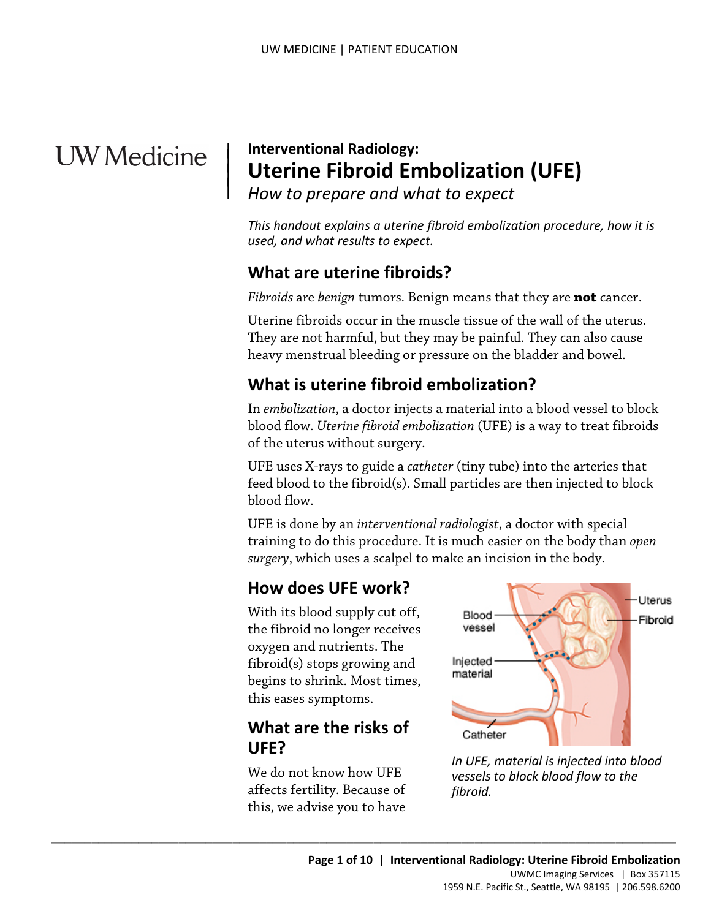# **UW** Medicine

 $\vert$  $\parallel$ 

## | **Interventional Radiology: Uterine Fibroid Embolization (UFE)**

*How to prepare and what to expect* 

*This handout explains a uterine fibroid embolization procedure, how it is used, and what results to expect.* 

## **What are uterine fibroids?**

*Fibroids* are *benign* tumors*.* Benign means that they are **not** cancer.

 heavy menstrual bleeding or pressure on the bladder and bowel. Uterine fibroids occur in the muscle tissue of the wall of the uterus. They are not harmful, but they may be painful. They can also cause

## **What is uterine fibroid embolization?**

 In *embolization*, a doctor injects a material into a blood vessel to block Uterine fibroids occur in the muscle tissue of the wall of the ute<br>They are not harmful, but they may be painful. They can also ca<br>heavy menstrual bleeding or pressure on the bladder and bowel<br>**What is uterine fibroid embo** blood flow. *Uterine fibroid embolization* (UFE) is a way to treat fibroids of the uterus without surgery.

 UFE uses X-rays to guide a *catheter* (tiny tube) into the arteries that feed blood to the fibroid(s). Small particles are then injected to block blood flow.

UFE is done by an *interventional radiologist*, a doctor with special training to do this procedure. It is much easier on the body than *open surgery*, which uses a scalpel to make an incision in the body.

## **How does UFE work?**

With its blood supply cut off, the fibroid no longer receives oxygen and nutrients. The fibroid(s) stops growing and begins to shrink. Most times, this eases symptoms.

## **What are the risks of UFE?**

We do not know how UFE affects fertility. Because of this, we advise you to have

 $\_$  , and the set of the set of the set of the set of the set of the set of the set of the set of the set of the set of the set of the set of the set of the set of the set of the set of the set of the set of the set of th



*In UFE, material is injected into blood vessels to block blood flow to the fibroid.*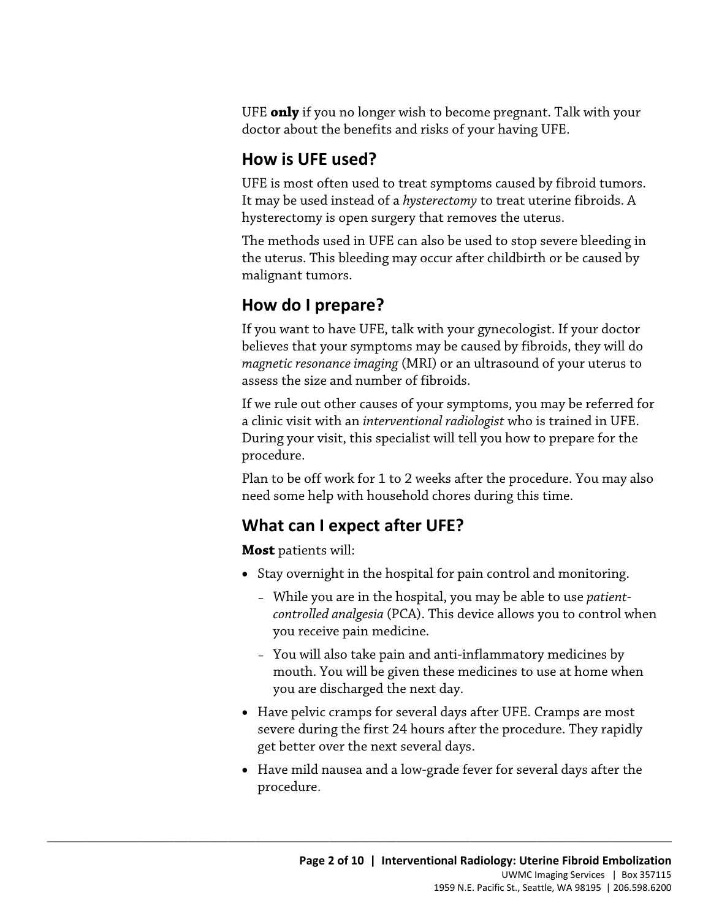UFE **only** if you no longer wish to become pregnant. Talk with your doctor about the benefits and risks of your having UFE.

## **How is UFE used?**

UFE is most often used to treat symptoms caused by fibroid tumors. It may be used instead of a *hysterectomy* to treat uterine fibroids. A hysterectomy is open surgery that removes the uterus.

 The methods used in UFE can also be used to stop severe bleeding in the uterus. This bleeding may occur after childbirth or be caused by malignant tumors.

## **How do I prepare?**

 believes that your symptoms may be caused by fibroids, they will do *magnetic resonance imaging* (MRI) or an ultrasound of your uterus to If you want to have UFE, talk with your gynecologist. If your doctor assess the size and number of fibroids.

 During your visit, this specialist will tell you how to prepare for the If you want to have OFE, tank with your gynecologist. If your doctors<br>believes that your symptoms may be caused by fibroids, they will d<br>magnetic resonance imaging (MRI) or an ultrasound of your uterus to<br>assess the size a If we rule out other causes of your symptoms, you may be referred for a clinic visit with an *interventional radiologist* who is trained in UFE. procedure.

 Plan to be off work for 1 to 2 weeks after the procedure. You may also need some help with household chores during this time.

## **What can I expect after UFE?**

 $\_$  ,  $\_$  ,  $\_$  ,  $\_$  ,  $\_$  ,  $\_$  ,  $\_$  ,  $\_$  ,  $\_$  ,  $\_$  ,  $\_$  ,  $\_$  ,  $\_$  ,  $\_$  ,  $\_$  ,  $\_$  ,  $\_$  ,  $\_$  ,  $\_$  ,  $\_$  ,  $\_$  ,  $\_$  ,  $\_$  ,  $\_$  ,  $\_$  ,  $\_$  ,  $\_$  ,  $\_$  ,  $\_$  ,  $\_$  ,  $\_$  ,  $\_$  ,  $\_$  ,  $\_$  ,  $\_$  ,  $\_$  ,  $\_$  ,

**Most** patients will:

- Stay overnight in the hospital for pain control and monitoring.
	- *controlled analgesia* (PCA). This device allows you to control when you receive pain medicine. – While you are in the hospital, you may be able to use *patient-*
	- – You will also take pain and anti-inflammatory medicines by you are discharged the next day. mouth. You will be given these medicines to use at home when
- Have pelvic cramps for several days after UFE. Cramps are most severe during the first 24 hours after the procedure. They rapidly get better over the next several days.
- • Have mild nausea and a low-grade fever for several days after the procedure.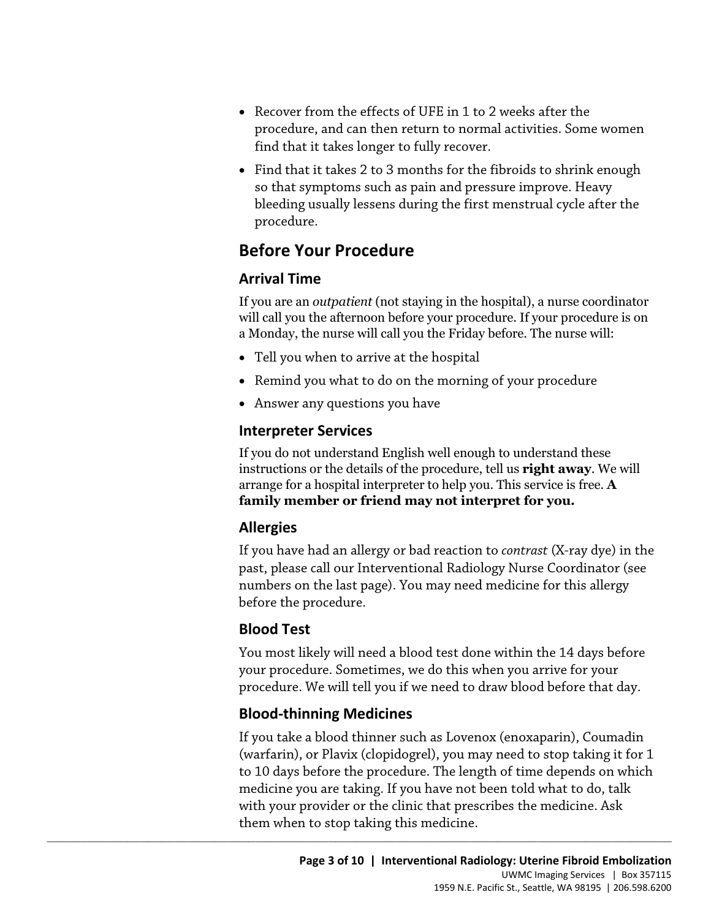- find that it takes longer to fully recover. • Recover from the effects of UFE in 1 to 2 weeks after the procedure, and can then return to normal activities. Some women
- • Find that it takes 2 to 3 months for the fibroids to shrink enough so that symptoms such as pain and pressure improve. Heavy bleeding usually lessens during the first menstrual cycle after the procedure.

## **Before Your Procedure**

#### **Arrival Time**

If you are an *outpatient* (not staying in the hospital), a nurse coordinator will call you the afternoon before your procedure. If your procedure is on a Monday, the nurse will call you the Friday before. The nurse will:

- Tell you when to arrive at the hospital
- Remind you what to do on the morning of your procedure
- Answer any questions you have

#### **Interpreter Services**

a Monday, the nurse will call you the Friday before. The nurse will:<br>
• Tell you when to arrive at the hospital<br>
• Remind you what to do on the morning of your procedure<br>
• Answer any questions you have<br> **Interpreter Servi** If you do not understand English well enough to understand these instructions or the details of the procedure, tell us **right away**. We will arrange for a hospital interpreter to help you. This service is free. **A family member or friend may not interpret for you.** 

#### **Allergies**

If you have had an allergy or bad reaction to *contrast* (X-ray dye) in the past, please call our Interventional Radiology Nurse Coordinator (see numbers on the last page). You may need medicine for this allergy before the procedure.

#### **Blood Test**

You most likely will need a blood test done within the 14 days before your procedure. Sometimes, we do this when you arrive for your procedure. We will tell you if we need to draw blood before that day.

#### **Blood-thinning Medicines**

 $\_$  ,  $\_$  ,  $\_$  ,  $\_$  ,  $\_$  ,  $\_$  ,  $\_$  ,  $\_$  ,  $\_$  ,  $\_$  ,  $\_$  ,  $\_$  ,  $\_$  ,  $\_$  ,  $\_$  ,  $\_$  ,  $\_$  ,  $\_$  ,  $\_$  ,  $\_$  ,  $\_$  ,  $\_$  ,  $\_$  ,  $\_$  ,  $\_$  ,  $\_$  ,  $\_$  ,  $\_$  ,  $\_$  ,  $\_$  ,  $\_$  ,  $\_$  ,  $\_$  ,  $\_$  ,  $\_$  ,  $\_$  ,  $\_$  ,

If you take a blood thinner such as Lovenox (enoxaparin), Coumadin (warfarin), or Plavix (clopidogrel), you may need to stop taking it for 1 to 10 days before the procedure. The length of time depends on which medicine you are taking. If you have not been told what to do, talk with your provider or the clinic that prescribes the medicine. Ask them when to stop taking this medicine.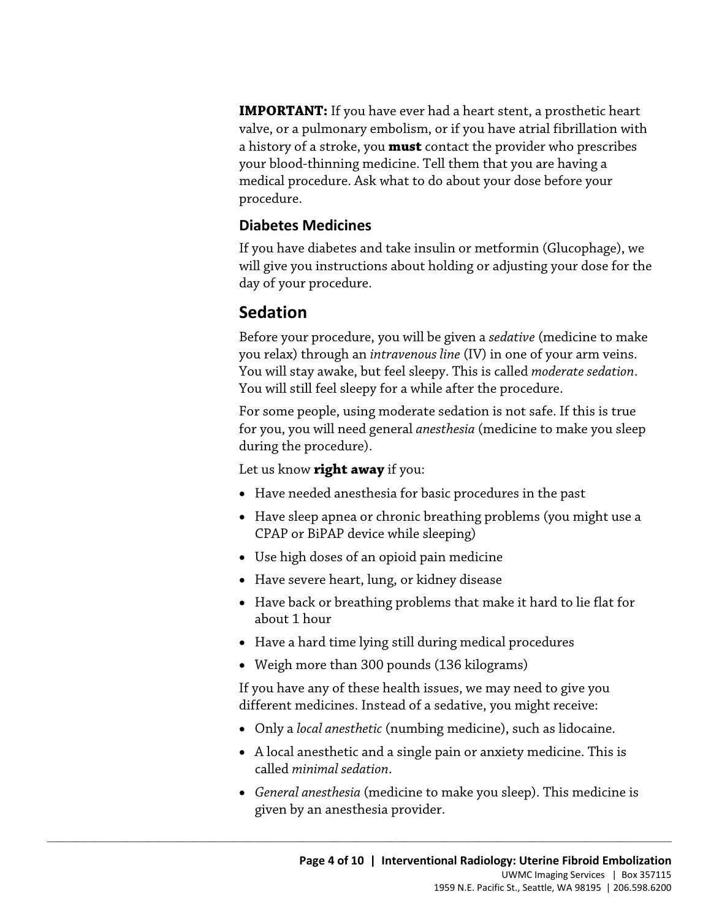**IMPORTANT:** If you have ever had a heart stent, a prosthetic heart valve, or a pulmonary embolism, or if you have atrial fibrillation with a history of a stroke, you **must** contact the provider who prescribes your blood-thinning medicine. Tell them that you are having a medical procedure. Ask what to do about your dose before your procedure.

#### **Diabetes Medicines**

If you have diabetes and take insulin or metformin (Glucophage), we will give you instructions about holding or adjusting your dose for the day of your procedure.

## **Sedation**

Before your procedure, you will be given a *sedative* (medicine to mal<br>you relax) through an *intravenous line* (IV) in one of your arm veins.<br>You will stay awake, but feel sleepy. This is called *moderate sedation*.<br>You w Before your procedure, you will be given a *sedative* (medicine to make you relax) through an *intravenous line* (IV) in one of your arm veins. You will stay awake, but feel sleepy. This is called *moderate sedation*. You will still feel sleepy for a while after the procedure.

For some people, using moderate sedation is not safe. If this is true for you, you will need general *anesthesia* (medicine to make you sleep during the procedure).

Let us know **right away** if you:

- Have needed anesthesia for basic procedures in the past
- Have sleep apnea or chronic breathing problems (you might use a CPAP or BiPAP device while sleeping)
- Use high doses of an opioid pain medicine
- Have severe heart, lung, or kidney disease
- Have back or breathing problems that make it hard to lie flat for about 1 hour
- Have a hard time lying still during medical procedures
- Weigh more than 300 pounds (136 kilograms)

 $\_$  ,  $\_$  ,  $\_$  ,  $\_$  ,  $\_$  ,  $\_$  ,  $\_$  ,  $\_$  ,  $\_$  ,  $\_$  ,  $\_$  ,  $\_$  ,  $\_$  ,  $\_$  ,  $\_$  ,  $\_$  ,  $\_$  ,  $\_$  ,  $\_$  ,  $\_$  ,  $\_$  ,  $\_$  ,  $\_$  ,  $\_$  ,  $\_$  ,  $\_$  ,  $\_$  ,  $\_$  ,  $\_$  ,  $\_$  ,  $\_$  ,  $\_$  ,  $\_$  ,  $\_$  ,  $\_$  ,  $\_$  ,  $\_$  ,

If you have any of these health issues, we may need to give you different medicines. Instead of a sedative, you might receive:

- Only a *local anesthetic* (numbing medicine), such as lidocaine.
- A local anesthetic and a single pain or anxiety medicine. This is called *minimal sedation*.
- *General anesthesia* (medicine to make you sleep). This medicine is given by an anesthesia provider.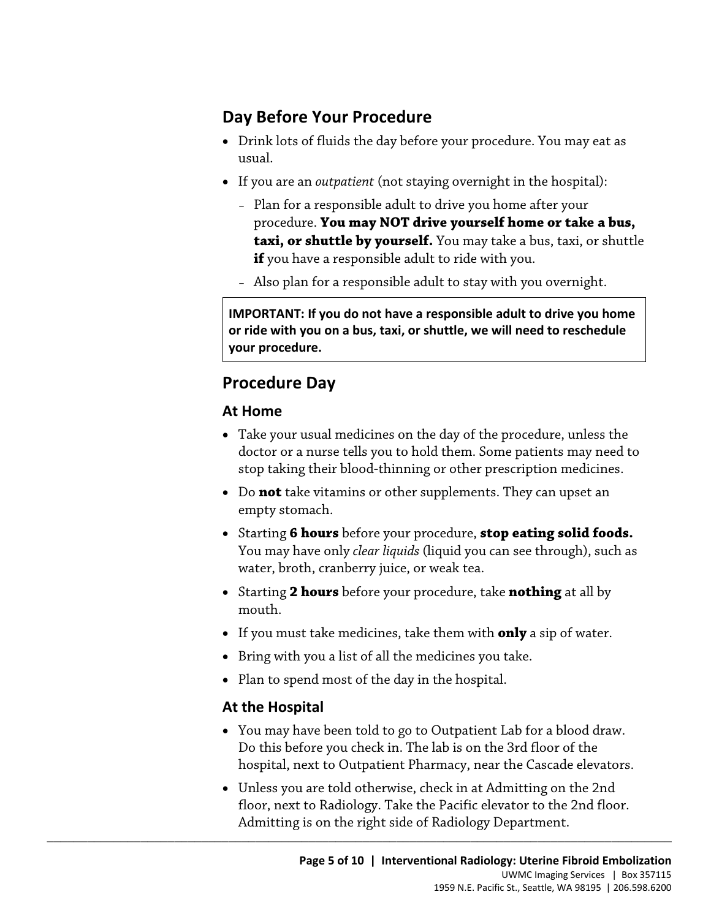## **Day Before Your Procedure**

- • Drink lots of fluids the day before your procedure. You may eat as usual.
- If you are an *outpatient* (not staying overnight in the hospital):
	- procedure. **You may NOT drive yourself home or take a bus,**  – Plan for a responsible adult to drive you home after your **taxi, or shuttle by yourself.** You may take a bus, taxi, or shuttle **if** you have a responsible adult to ride with you.
	- Also plan for a responsible adult to stay with you overnight.

 **or ride with you on a bus, taxi, or shuttle, we will need to reschedule IMPORTANT: If you do not have a responsible adult to drive you home your procedure.** 

## **Procedure Day**

#### **At Home**

- doctor or a nurse tells you to hold them. Some patients may need to Procedure Day<br>
At Home<br>
• Take your usual medicines on the day of the procedure, unless the<br>
doctor or a nurse tells you to hold them. Some patients may need to<br>
stop taking their blood-thinning or other prescription medic • Take your usual medicines on the day of the procedure, unless the stop taking their blood-thinning or other prescription medicines.
	- • Do **not** take vitamins or other supplements. They can upset an empty stomach.
	- Starting **6 hours** before your procedure, **stop eating solid foods.**  You may have only *clear liquids* (liquid you can see through), such as water, broth, cranberry juice, or weak tea.
	- Starting **2 hours** before your procedure, take **nothing** at all by mouth.
	- If you must take medicines, take them with **only** a sip of water.
	- Bring with you a list of all the medicines you take.
	- Plan to spend most of the day in the hospital.

 $\_$  ,  $\_$  ,  $\_$  ,  $\_$  ,  $\_$  ,  $\_$  ,  $\_$  ,  $\_$  ,  $\_$  ,  $\_$  ,  $\_$  ,  $\_$  ,  $\_$  ,  $\_$  ,  $\_$  ,  $\_$  ,  $\_$  ,  $\_$  ,  $\_$  ,  $\_$  ,  $\_$  ,  $\_$  ,  $\_$  ,  $\_$  ,  $\_$  ,  $\_$  ,  $\_$  ,  $\_$  ,  $\_$  ,  $\_$  ,  $\_$  ,  $\_$  ,  $\_$  ,  $\_$  ,  $\_$  ,  $\_$  ,  $\_$  ,

#### **At the Hospital**

- You may have been told to go to Outpatient Lab for a blood draw. Do this before you check in. The lab is on the 3rd floor of the hospital, next to Outpatient Pharmacy, near the Cascade elevators.
- Unless you are told otherwise, check in at Admitting on the 2nd floor, next to Radiology. Take the Pacific elevator to the 2nd floor. Admitting is on the right side of Radiology Department.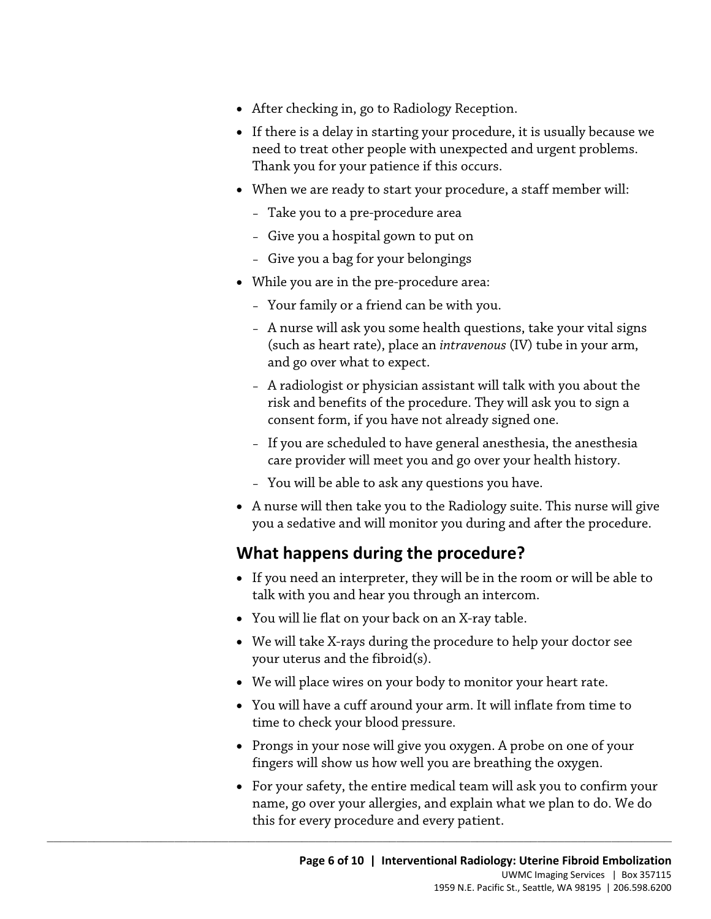- After checking in, go to Radiology Reception.
- If there is a delay in starting your procedure, it is usually because we need to treat other people with unexpected and urgent problems. Thank you for your patience if this occurs.
- When we are ready to start your procedure, a staff member will:
	- Take you to a pre-procedure area
	- Give you a hospital gown to put on
	- Give you a bag for your belongings
- While you are in the pre-procedure area:
	- Your family or a friend can be with you.
	- A nurse will ask you some health questions, take your vital signs (such as heart rate), place an *intravenous* (IV) tube in your arm, and go over what to expect.
- Trialse win ask you some meaning<br>the state your vias sign (such as heart rate), place an *intravenous* (IV) tube in your arm,<br>and go over what to expect.<br>- A radiologist or physician assistant will talk with you about th – A radiologist or physician assistant will talk with you about the risk and benefits of the procedure. They will ask you to sign a consent form, if you have not already signed one.
	- If you are scheduled to have general anesthesia, the anesthesia care provider will meet you and go over your health history.
	- You will be able to ask any questions you have.
	- you a sedative and will monitor you during and after the procedure. • A nurse will then take you to the Radiology suite. This nurse will give

#### **What happens during the procedure?**

- If you need an interpreter, they will be in the room or will be able to talk with you and hear you through an intercom.
- You will lie flat on your back on an X-ray table.

 $\_$  ,  $\_$  ,  $\_$  ,  $\_$  ,  $\_$  ,  $\_$  ,  $\_$  ,  $\_$  ,  $\_$  ,  $\_$  ,  $\_$  ,  $\_$  ,  $\_$  ,  $\_$  ,  $\_$  ,  $\_$  ,  $\_$  ,  $\_$  ,  $\_$  ,  $\_$  ,  $\_$  ,  $\_$  ,  $\_$  ,  $\_$  ,  $\_$  ,  $\_$  ,  $\_$  ,  $\_$  ,  $\_$  ,  $\_$  ,  $\_$  ,  $\_$  ,  $\_$  ,  $\_$  ,  $\_$  ,  $\_$  ,  $\_$  ,

- We will take X-rays during the procedure to help your doctor see your uterus and the fibroid(s).
- We will place wires on your body to monitor your heart rate.
- • You will have a cuff around your arm. It will inflate from time to time to check your blood pressure.
- Prongs in your nose will give you oxygen. A probe on one of your fingers will show us how well you are breathing the oxygen.
- For your safety, the entire medical team will ask you to confirm your name, go over your allergies, and explain what we plan to do. We do this for every procedure and every patient.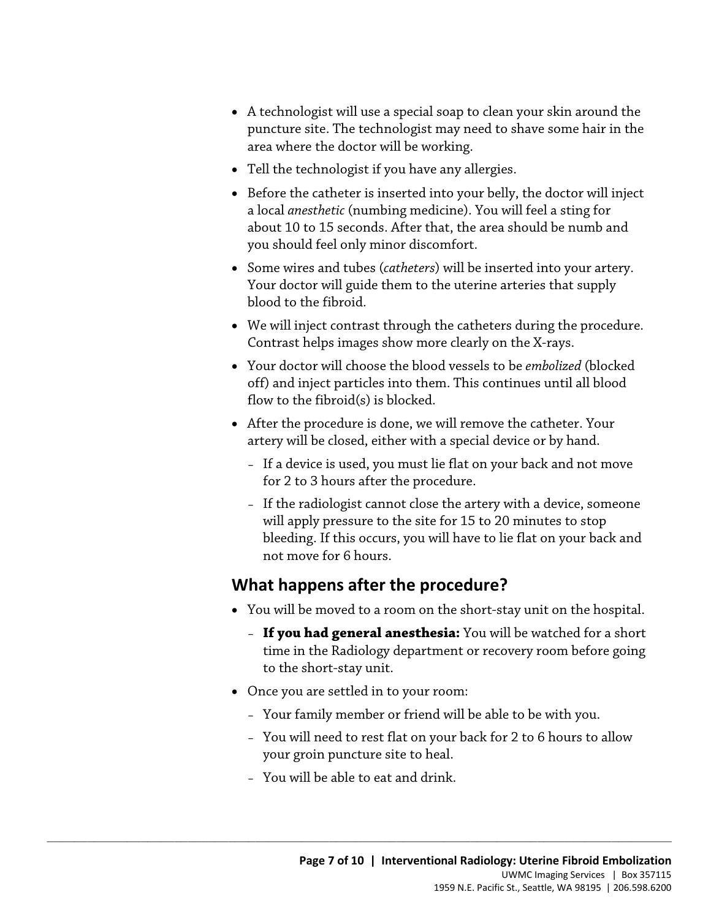- A technologist will use a special soap to clean your skin around the puncture site. The technologist may need to shave some hair in the area where the doctor will be working.
- Tell the technologist if you have any allergies.
- • Before the catheter is inserted into your belly, the doctor will inject a local *anesthetic* (numbing medicine). You will feel a sting for about 10 to 15 seconds. After that, the area should be numb and you should feel only minor discomfort.
- Some wires and tubes (*catheters*) will be inserted into your artery. Your doctor will guide them to the uterine arteries that supply blood to the fibroid.
- We will inject contrast through the catheters during the procedure. Contrast helps images show more clearly on the X-rays.
- Contrast helps images show more clearly on the X-rays.<br>
 Your doctor will choose the blood vessels to be *embolized* (blocked<br>
off) and inject particles into them. This continues until all blood<br>
flow to the fibroid(s) is • Your doctor will choose the blood vessels to be *embolized* (blocked off) and inject particles into them. This continues until all blood flow to the fibroid(s) is blocked.
	- After the procedure is done, we will remove the catheter. Your artery will be closed, either with a special device or by hand.
		- If a device is used, you must lie flat on your back and not move for 2 to 3 hours after the procedure.
		- If the radiologist cannot close the artery with a device, someone will apply pressure to the site for 15 to 20 minutes to stop bleeding. If this occurs, you will have to lie flat on your back and not move for 6 hours.

## **What happens after the procedure?**

- You will be moved to a room on the short-stay unit on the hospital.
	- **If you had general anesthesia:** You will be watched for a short time in the Radiology department or recovery room before going to the short-stay unit.
- Once you are settled in to your room:
	- Your family member or friend will be able to be with you.
	- You will need to rest flat on your back for 2 to 6 hours to allow your groin puncture site to heal.
	- You will be able to eat and drink.

 $\_$  ,  $\_$  ,  $\_$  ,  $\_$  ,  $\_$  ,  $\_$  ,  $\_$  ,  $\_$  ,  $\_$  ,  $\_$  ,  $\_$  ,  $\_$  ,  $\_$  ,  $\_$  ,  $\_$  ,  $\_$  ,  $\_$  ,  $\_$  ,  $\_$  ,  $\_$  ,  $\_$  ,  $\_$  ,  $\_$  ,  $\_$  ,  $\_$  ,  $\_$  ,  $\_$  ,  $\_$  ,  $\_$  ,  $\_$  ,  $\_$  ,  $\_$  ,  $\_$  ,  $\_$  ,  $\_$  ,  $\_$  ,  $\_$  ,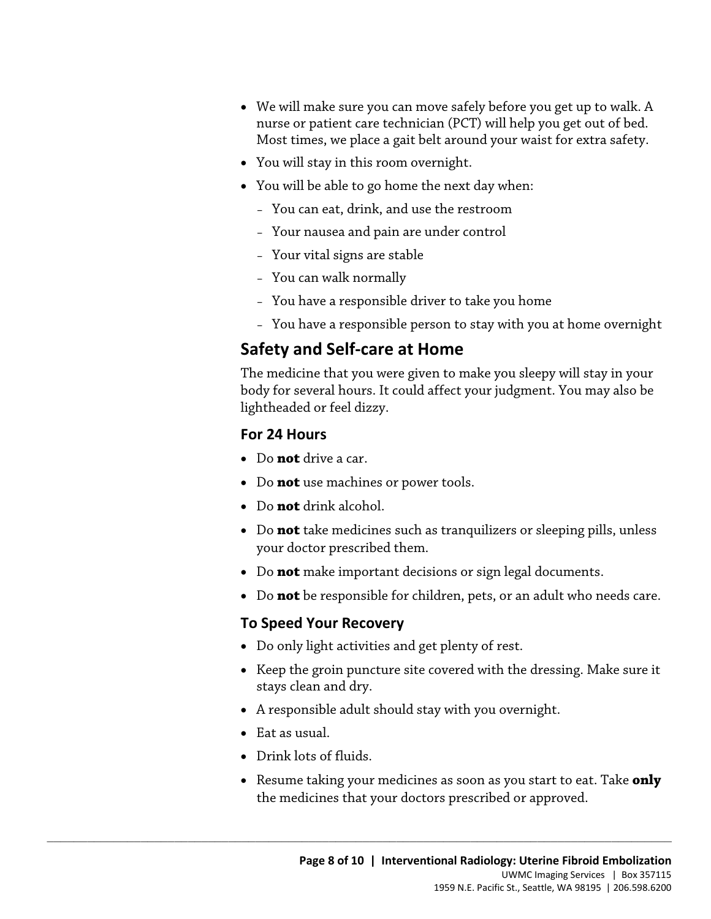- We will make sure you can move safely before you get up to walk. A nurse or patient care technician (PCT) will help you get out of bed. Most times, we place a gait belt around your waist for extra safety.
- You will stay in this room overnight.
- You will be able to go home the next day when:
	- You can eat, drink, and use the restroom
	- Your nausea and pain are under control
	- Your vital signs are stable
	- You can walk normally
	- You have a responsible driver to take you home
	- You have a responsible person to stay with you at home overnight

## **Safety and Self-care at Home**

Safety and Self-care at Home<br>The medicine that you were given to make you sleepy will stay in yo<br>body for several hours. It could affect your judgment. You may also<br>lightheaded or feel dizzy.<br>For 24 Hours<br>• Do not drive a The medicine that you were given to make you sleepy will stay in your body for several hours. It could affect your judgment. You may also be lightheaded or feel dizzy.

#### **For 24 Hours**

- Do **not** drive a car.
- Do **not** use machines or power tools.
- Do **not** drink alcohol.
- Do **not** take medicines such as tranquilizers or sleeping pills, unless your doctor prescribed them.
- Do **not** make important decisions or sign legal documents.
- Do **not** be responsible for children, pets, or an adult who needs care.

#### **To Speed Your Recovery**

• Do only light activities and get plenty of rest.

 $\_$  ,  $\_$  ,  $\_$  ,  $\_$  ,  $\_$  ,  $\_$  ,  $\_$  ,  $\_$  ,  $\_$  ,  $\_$  ,  $\_$  ,  $\_$  ,  $\_$  ,  $\_$  ,  $\_$  ,  $\_$  ,  $\_$  ,  $\_$  ,  $\_$  ,  $\_$  ,  $\_$  ,  $\_$  ,  $\_$  ,  $\_$  ,  $\_$  ,  $\_$  ,  $\_$  ,  $\_$  ,  $\_$  ,  $\_$  ,  $\_$  ,  $\_$  ,  $\_$  ,  $\_$  ,  $\_$  ,  $\_$  ,  $\_$  ,

- Keep the groin puncture site covered with the dressing. Make sure it stays clean and dry.
- A responsible adult should stay with you overnight.
- Eat as usual.
- Drink lots of fluids.
- • Resume taking your medicines as soon as you start to eat. Take **only**  the medicines that your doctors prescribed or approved.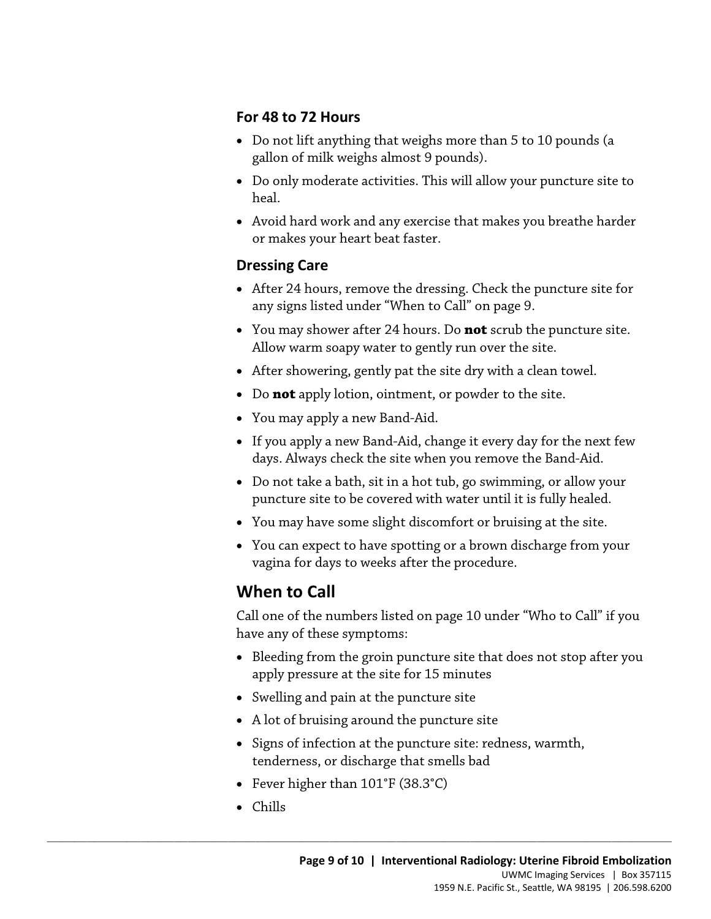#### **For 48 to 72 Hours**

- Do not lift anything that weighs more than 5 to 10 pounds (a gallon of milk weighs almost 9 pounds).
- Do only moderate activities. This will allow your puncture site to heal.
- Avoid hard work and any exercise that makes you breathe harder or makes your heart beat faster.

#### **Dressing Care**

- • After 24 hours, remove the dressing. Check the puncture site for any signs listed under "When to Call" on page 9.
- You may shower after 24 hours. Do **not** scrub the puncture site. Allow warm soapy water to gently run over the site.
- After showering, gently pat the site dry with a clean towel.
- Do **not** apply lotion, ointment, or powder to the site.
- You may apply a new Band-Aid.
- Tou may shower after 24 hours. Do **not** scrub the puncture site.<br>Allow warm soapy water to gently run over the site.<br>• After showering, gently pat the site dry with a clean towel.<br>• Do **not** apply lotion, ointment, or po • If you apply a new Band-Aid, change it every day for the next few days. Always check the site when you remove the Band-Aid.
	- Do not take a bath, sit in a hot tub, go swimming, or allow your puncture site to be covered with water until it is fully healed.
	- You may have some slight discomfort or bruising at the site.
	- You can expect to have spotting or a brown discharge from your vagina for days to weeks after the procedure.

## **When to Call**

Call one of the numbers listed on page 10 under "Who to Call" if you have any of these symptoms:

- Bleeding from the groin puncture site that does not stop after you apply pressure at the site for 15 minutes
- Swelling and pain at the puncture site
- A lot of bruising around the puncture site
- • Signs of infection at the puncture site: redness, warmth, tenderness, or discharge that smells bad
- Fever higher than 101°F (38.3°C)

 $\_$  ,  $\_$  ,  $\_$  ,  $\_$  ,  $\_$  ,  $\_$  ,  $\_$  ,  $\_$  ,  $\_$  ,  $\_$  ,  $\_$  ,  $\_$  ,  $\_$  ,  $\_$  ,  $\_$  ,  $\_$  ,  $\_$  ,  $\_$  ,  $\_$  ,  $\_$  ,  $\_$  ,  $\_$  ,  $\_$  ,  $\_$  ,  $\_$  ,  $\_$  ,  $\_$  ,  $\_$  ,  $\_$  ,  $\_$  ,  $\_$  ,  $\_$  ,  $\_$  ,  $\_$  ,  $\_$  ,  $\_$  ,  $\_$  ,

• Chills